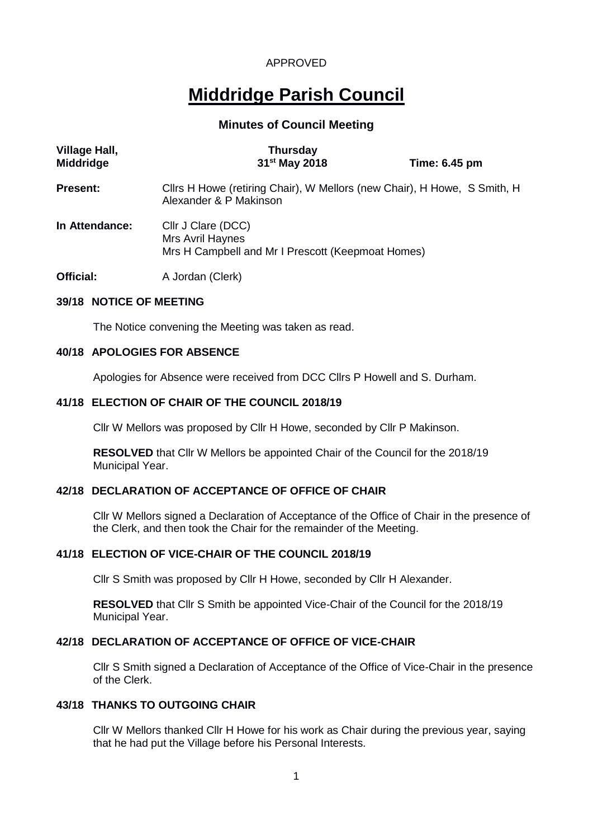# **Middridge Parish Council**

## **Minutes of Council Meeting**

| <b>Village Hall,</b><br><b>Middridge</b> | <b>Thursday</b><br>31 <sup>st</sup> May 2018                                                       | Time: 6.45 pm |  |
|------------------------------------------|----------------------------------------------------------------------------------------------------|---------------|--|
| <b>Present:</b>                          | Cllrs H Howe (retiring Chair), W Mellors (new Chair), H Howe, S Smith, H<br>Alexander & P Makinson |               |  |
| In Attendance:                           | Cllr J Clare (DCC)<br>Mrs Avril Haynes<br>Mrs H Campbell and Mr I Prescott (Keepmoat Homes)        |               |  |
| Official:                                | A Jordan (Clerk)                                                                                   |               |  |

## **39/18 NOTICE OF MEETING**

The Notice convening the Meeting was taken as read.

#### **40/18 APOLOGIES FOR ABSENCE**

Apologies for Absence were received from DCC Cllrs P Howell and S. Durham.

#### **41/18 ELECTION OF CHAIR OF THE COUNCIL 2018/19**

Cllr W Mellors was proposed by Cllr H Howe, seconded by Cllr P Makinson.

**RESOLVED** that Cllr W Mellors be appointed Chair of the Council for the 2018/19 Municipal Year.

#### **42/18 DECLARATION OF ACCEPTANCE OF OFFICE OF CHAIR**

Cllr W Mellors signed a Declaration of Acceptance of the Office of Chair in the presence of the Clerk, and then took the Chair for the remainder of the Meeting.

#### **41/18 ELECTION OF VICE-CHAIR OF THE COUNCIL 2018/19**

Cllr S Smith was proposed by Cllr H Howe, seconded by Cllr H Alexander.

**RESOLVED** that Cllr S Smith be appointed Vice-Chair of the Council for the 2018/19 Municipal Year.

#### **42/18 DECLARATION OF ACCEPTANCE OF OFFICE OF VICE-CHAIR**

Cllr S Smith signed a Declaration of Acceptance of the Office of Vice-Chair in the presence of the Clerk.

#### **43/18 THANKS TO OUTGOING CHAIR**

Cllr W Mellors thanked Cllr H Howe for his work as Chair during the previous year, saying that he had put the Village before his Personal Interests.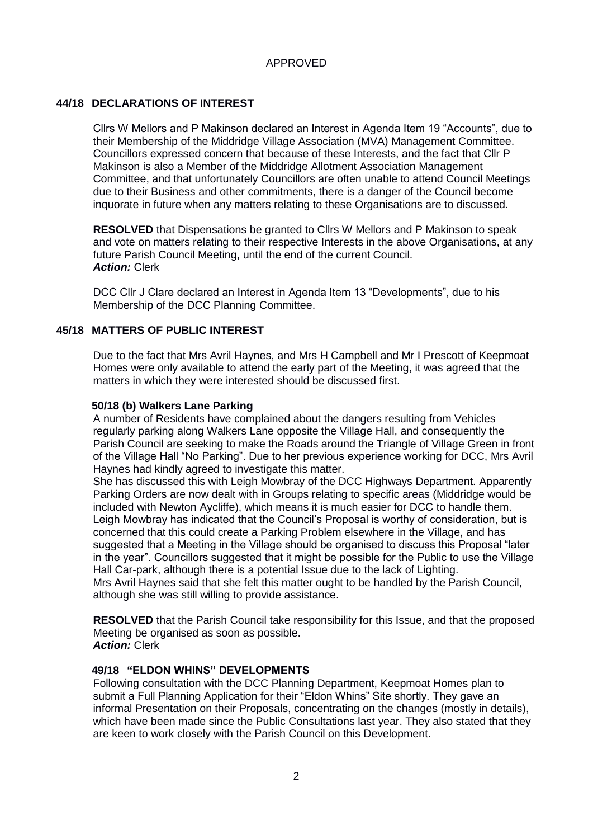## **44/18 DECLARATIONS OF INTEREST**

Cllrs W Mellors and P Makinson declared an Interest in Agenda Item 19 "Accounts", due to their Membership of the Middridge Village Association (MVA) Management Committee. Councillors expressed concern that because of these Interests, and the fact that Cllr P Makinson is also a Member of the Middridge Allotment Association Management Committee, and that unfortunately Councillors are often unable to attend Council Meetings due to their Business and other commitments, there is a danger of the Council become inquorate in future when any matters relating to these Organisations are to discussed.

**RESOLVED** that Dispensations be granted to Cllrs W Mellors and P Makinson to speak and vote on matters relating to their respective Interests in the above Organisations, at any future Parish Council Meeting, until the end of the current Council. *Action:* Clerk

DCC Cllr J Clare declared an Interest in Agenda Item 13 "Developments", due to his Membership of the DCC Planning Committee.

#### **45/18 MATTERS OF PUBLIC INTEREST**

Due to the fact that Mrs Avril Haynes, and Mrs H Campbell and Mr I Prescott of Keepmoat Homes were only available to attend the early part of the Meeting, it was agreed that the matters in which they were interested should be discussed first.

#### **50/18 (b) Walkers Lane Parking**

A number of Residents have complained about the dangers resulting from Vehicles regularly parking along Walkers Lane opposite the Village Hall, and consequently the Parish Council are seeking to make the Roads around the Triangle of Village Green in front of the Village Hall "No Parking". Due to her previous experience working for DCC, Mrs Avril Haynes had kindly agreed to investigate this matter.

She has discussed this with Leigh Mowbray of the DCC Highways Department. Apparently Parking Orders are now dealt with in Groups relating to specific areas (Middridge would be included with Newton Aycliffe), which means it is much easier for DCC to handle them. Leigh Mowbray has indicated that the Council's Proposal is worthy of consideration, but is concerned that this could create a Parking Problem elsewhere in the Village, and has suggested that a Meeting in the Village should be organised to discuss this Proposal "later in the year". Councillors suggested that it might be possible for the Public to use the Village Hall Car-park, although there is a potential Issue due to the lack of Lighting. Mrs Avril Haynes said that she felt this matter ought to be handled by the Parish Council, although she was still willing to provide assistance.

**RESOLVED** that the Parish Council take responsibility for this Issue, and that the proposed Meeting be organised as soon as possible. *Action:* Clerk

## **49/18 "ELDON WHINS" DEVELOPMENTS**

Following consultation with the DCC Planning Department, Keepmoat Homes plan to submit a Full Planning Application for their "Eldon Whins" Site shortly. They gave an informal Presentation on their Proposals, concentrating on the changes (mostly in details), which have been made since the Public Consultations last year. They also stated that they are keen to work closely with the Parish Council on this Development.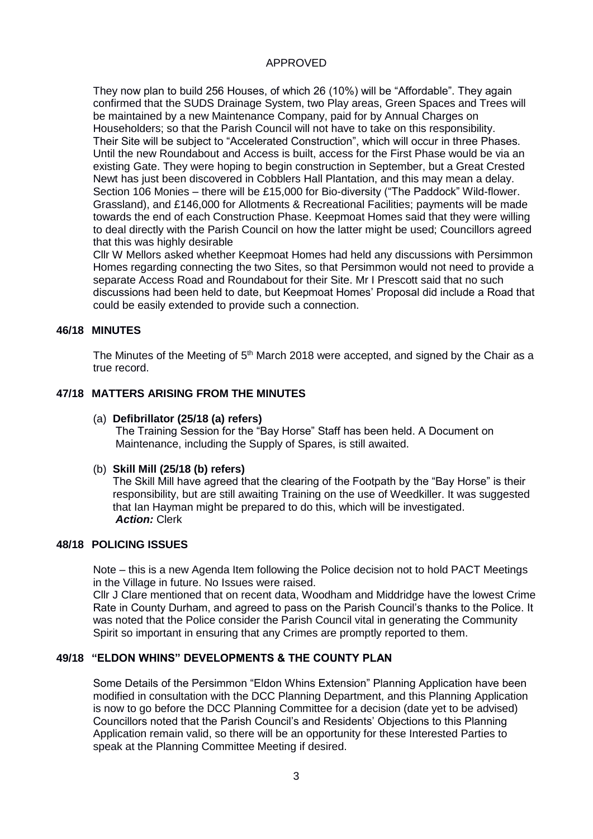They now plan to build 256 Houses, of which 26 (10%) will be "Affordable". They again confirmed that the SUDS Drainage System, two Play areas, Green Spaces and Trees will be maintained by a new Maintenance Company, paid for by Annual Charges on Householders; so that the Parish Council will not have to take on this responsibility. Their Site will be subject to "Accelerated Construction", which will occur in three Phases. Until the new Roundabout and Access is built, access for the First Phase would be via an existing Gate. They were hoping to begin construction in September, but a Great Crested Newt has just been discovered in Cobblers Hall Plantation, and this may mean a delay. Section 106 Monies – there will be £15,000 for Bio-diversity ("The Paddock" Wild-flower. Grassland), and £146,000 for Allotments & Recreational Facilities; payments will be made towards the end of each Construction Phase. Keepmoat Homes said that they were willing to deal directly with the Parish Council on how the latter might be used; Councillors agreed that this was highly desirable

Cllr W Mellors asked whether Keepmoat Homes had held any discussions with Persimmon Homes regarding connecting the two Sites, so that Persimmon would not need to provide a separate Access Road and Roundabout for their Site. Mr I Prescott said that no such discussions had been held to date, but Keepmoat Homes' Proposal did include a Road that could be easily extended to provide such a connection.

#### **46/18 MINUTES**

The Minutes of the Meeting of 5<sup>th</sup> March 2018 were accepted, and signed by the Chair as a true record.

#### **47/18 MATTERS ARISING FROM THE MINUTES**

#### (a) **Defibrillator (25/18 (a) refers)**

The Training Session for the "Bay Horse" Staff has been held. A Document on Maintenance, including the Supply of Spares, is still awaited.

#### (b) **Skill Mill (25/18 (b) refers)**

The Skill Mill have agreed that the clearing of the Footpath by the "Bay Horse" is their responsibility, but are still awaiting Training on the use of Weedkiller. It was suggested that Ian Hayman might be prepared to do this, which will be investigated. *Action:* Clerk

#### **48/18 POLICING ISSUES**

Note – this is a new Agenda Item following the Police decision not to hold PACT Meetings in the Village in future. No Issues were raised.

Cllr J Clare mentioned that on recent data, Woodham and Middridge have the lowest Crime Rate in County Durham, and agreed to pass on the Parish Council's thanks to the Police. It was noted that the Police consider the Parish Council vital in generating the Community Spirit so important in ensuring that any Crimes are promptly reported to them.

#### **49/18 "ELDON WHINS" DEVELOPMENTS & THE COUNTY PLAN**

Some Details of the Persimmon "Eldon Whins Extension" Planning Application have been modified in consultation with the DCC Planning Department, and this Planning Application is now to go before the DCC Planning Committee for a decision (date yet to be advised) Councillors noted that the Parish Council's and Residents' Objections to this Planning Application remain valid, so there will be an opportunity for these Interested Parties to speak at the Planning Committee Meeting if desired.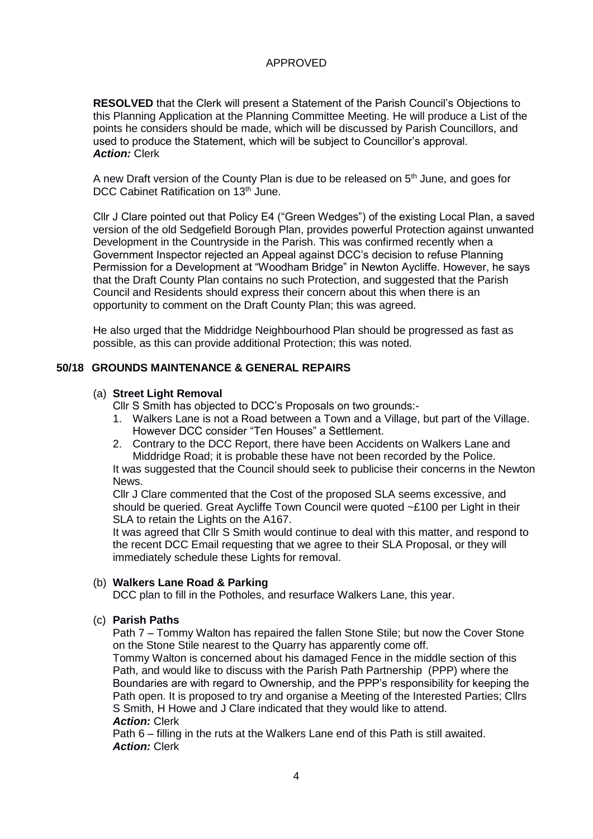**RESOLVED** that the Clerk will present a Statement of the Parish Council's Objections to this Planning Application at the Planning Committee Meeting. He will produce a List of the points he considers should be made, which will be discussed by Parish Councillors, and used to produce the Statement, which will be subject to Councillor's approval. *Action:* Clerk

A new Draft version of the County Plan is due to be released on 5<sup>th</sup> June, and goes for DCC Cabinet Ratification on 13<sup>th</sup> June.

Cllr J Clare pointed out that Policy E4 ("Green Wedges") of the existing Local Plan, a saved version of the old Sedgefield Borough Plan, provides powerful Protection against unwanted Development in the Countryside in the Parish. This was confirmed recently when a Government Inspector rejected an Appeal against DCC's decision to refuse Planning Permission for a Development at "Woodham Bridge" in Newton Aycliffe. However, he says that the Draft County Plan contains no such Protection, and suggested that the Parish Council and Residents should express their concern about this when there is an opportunity to comment on the Draft County Plan; this was agreed.

He also urged that the Middridge Neighbourhood Plan should be progressed as fast as possible, as this can provide additional Protection; this was noted.

## **50/18 GROUNDS MAINTENANCE & GENERAL REPAIRS**

#### (a) **Street Light Removal**

Cllr S Smith has objected to DCC's Proposals on two grounds:-

- 1. Walkers Lane is not a Road between a Town and a Village, but part of the Village. However DCC consider "Ten Houses" a Settlement.
- 2. Contrary to the DCC Report, there have been Accidents on Walkers Lane and Middridge Road; it is probable these have not been recorded by the Police.

It was suggested that the Council should seek to publicise their concerns in the Newton News.

Cllr J Clare commented that the Cost of the proposed SLA seems excessive, and should be queried. Great Aycliffe Town Council were quoted ~£100 per Light in their SLA to retain the Lights on the A167.

It was agreed that Cllr S Smith would continue to deal with this matter, and respond to the recent DCC Email requesting that we agree to their SLA Proposal, or they will immediately schedule these Lights for removal.

#### (b) **Walkers Lane Road & Parking**

DCC plan to fill in the Potholes, and resurface Walkers Lane, this year.

#### (c) **Parish Paths**

Path 7 – Tommy Walton has repaired the fallen Stone Stile; but now the Cover Stone on the Stone Stile nearest to the Quarry has apparently come off.

Tommy Walton is concerned about his damaged Fence in the middle section of this Path, and would like to discuss with the Parish Path Partnership (PPP) where the Boundaries are with regard to Ownership, and the PPP's responsibility for keeping the Path open. It is proposed to try and organise a Meeting of the Interested Parties; Cllrs S Smith, H Howe and J Clare indicated that they would like to attend. *Action:* Clerk

Path 6 – filling in the ruts at the Walkers Lane end of this Path is still awaited. *Action:* Clerk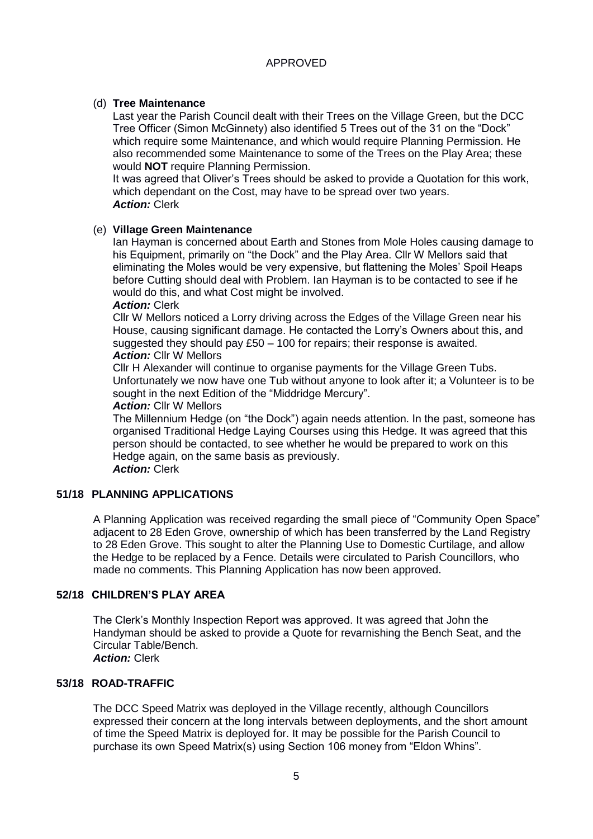## (d) **Tree Maintenance**

Last year the Parish Council dealt with their Trees on the Village Green, but the DCC Tree Officer (Simon McGinnety) also identified 5 Trees out of the 31 on the "Dock" which require some Maintenance, and which would require Planning Permission. He also recommended some Maintenance to some of the Trees on the Play Area; these would **NOT** require Planning Permission.

It was agreed that Oliver's Trees should be asked to provide a Quotation for this work, which dependant on the Cost, may have to be spread over two years. *Action:* Clerk

## (e) **Village Green Maintenance**

Ian Hayman is concerned about Earth and Stones from Mole Holes causing damage to his Equipment, primarily on "the Dock" and the Play Area. Cllr W Mellors said that eliminating the Moles would be very expensive, but flattening the Moles' Spoil Heaps before Cutting should deal with Problem. Ian Hayman is to be contacted to see if he would do this, and what Cost might be involved.

#### *Action:* Clerk

Cllr W Mellors noticed a Lorry driving across the Edges of the Village Green near his House, causing significant damage. He contacted the Lorry's Owners about this, and suggested they should pay £50 – 100 for repairs; their response is awaited. *Action:* Cllr W Mellors

Cllr H Alexander will continue to organise payments for the Village Green Tubs. Unfortunately we now have one Tub without anyone to look after it; a Volunteer is to be sought in the next Edition of the "Middridge Mercury".

#### *Action:* Cllr W Mellors

The Millennium Hedge (on "the Dock") again needs attention. In the past, someone has organised Traditional Hedge Laying Courses using this Hedge. It was agreed that this person should be contacted, to see whether he would be prepared to work on this Hedge again, on the same basis as previously. *Action:* Clerk

## **51/18 PLANNING APPLICATIONS**

A Planning Application was received regarding the small piece of "Community Open Space" adjacent to 28 Eden Grove, ownership of which has been transferred by the Land Registry to 28 Eden Grove. This sought to alter the Planning Use to Domestic Curtilage, and allow the Hedge to be replaced by a Fence. Details were circulated to Parish Councillors, who made no comments. This Planning Application has now been approved.

## **52/18 CHILDREN'S PLAY AREA**

The Clerk's Monthly Inspection Report was approved. It was agreed that John the Handyman should be asked to provide a Quote for revarnishing the Bench Seat, and the Circular Table/Bench. *Action:* Clerk

#### **53/18 ROAD-TRAFFIC**

The DCC Speed Matrix was deployed in the Village recently, although Councillors expressed their concern at the long intervals between deployments, and the short amount of time the Speed Matrix is deployed for. It may be possible for the Parish Council to purchase its own Speed Matrix(s) using Section 106 money from "Eldon Whins".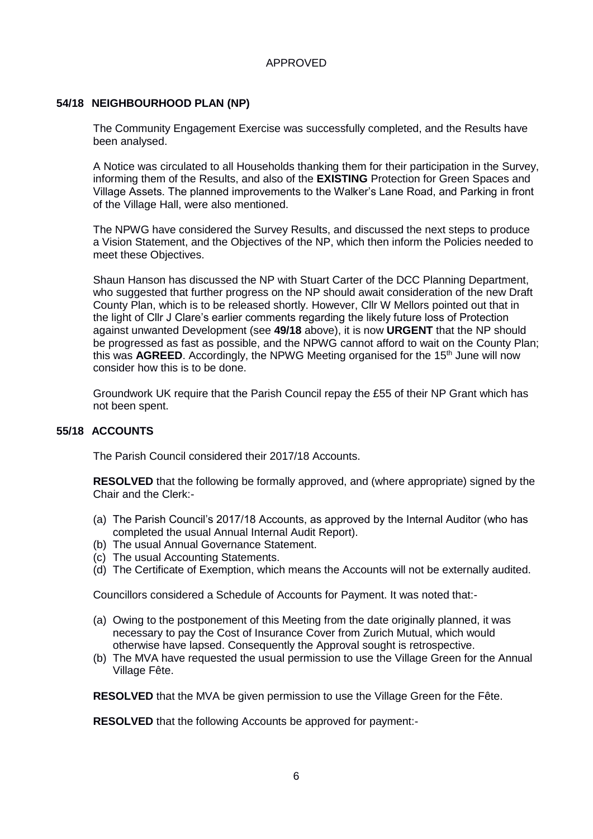## **54/18 NEIGHBOURHOOD PLAN (NP)**

The Community Engagement Exercise was successfully completed, and the Results have been analysed.

A Notice was circulated to all Households thanking them for their participation in the Survey, informing them of the Results, and also of the **EXISTING** Protection for Green Spaces and Village Assets. The planned improvements to the Walker's Lane Road, and Parking in front of the Village Hall, were also mentioned.

The NPWG have considered the Survey Results, and discussed the next steps to produce a Vision Statement, and the Objectives of the NP, which then inform the Policies needed to meet these Objectives.

Shaun Hanson has discussed the NP with Stuart Carter of the DCC Planning Department, who suggested that further progress on the NP should await consideration of the new Draft County Plan, which is to be released shortly. However, Cllr W Mellors pointed out that in the light of Cllr J Clare's earlier comments regarding the likely future loss of Protection against unwanted Development (see **49/18** above), it is now **URGENT** that the NP should be progressed as fast as possible, and the NPWG cannot afford to wait on the County Plan; this was **AGREED**. Accordingly, the NPWG Meeting organised for the 15<sup>th</sup> June will now consider how this is to be done.

Groundwork UK require that the Parish Council repay the £55 of their NP Grant which has not been spent.

## **55/18 ACCOUNTS**

The Parish Council considered their 2017/18 Accounts.

**RESOLVED** that the following be formally approved, and (where appropriate) signed by the Chair and the Clerk:-

- (a) The Parish Council's 2017/18 Accounts, as approved by the Internal Auditor (who has completed the usual Annual Internal Audit Report).
- (b) The usual Annual Governance Statement.
- (c) The usual Accounting Statements.
- (d) The Certificate of Exemption, which means the Accounts will not be externally audited.

Councillors considered a Schedule of Accounts for Payment. It was noted that:-

- (a) Owing to the postponement of this Meeting from the date originally planned, it was necessary to pay the Cost of Insurance Cover from Zurich Mutual, which would otherwise have lapsed. Consequently the Approval sought is retrospective.
- (b) The MVA have requested the usual permission to use the Village Green for the Annual Village Fête.

**RESOLVED** that the MVA be given permission to use the Village Green for the Fête.

**RESOLVED** that the following Accounts be approved for payment:-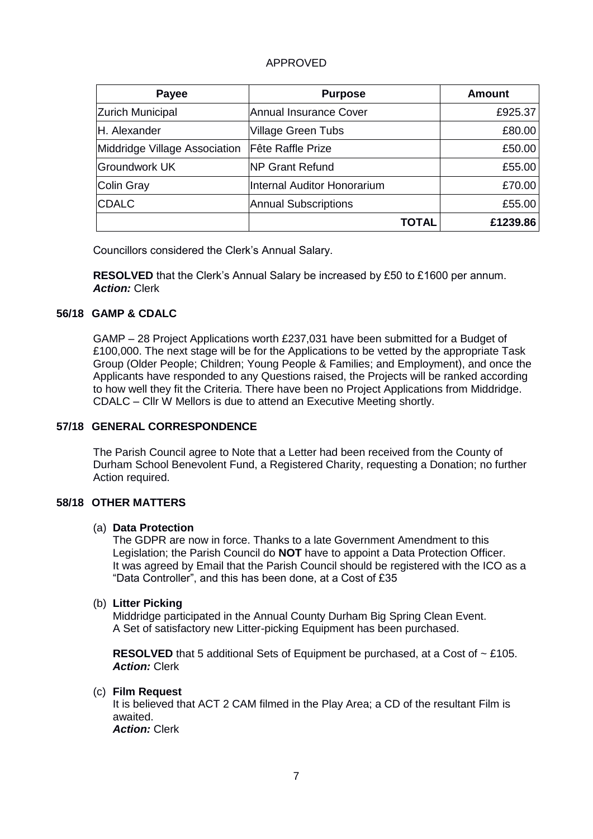| <b>Payee</b>                  | <b>Purpose</b>                | <b>Amount</b> |
|-------------------------------|-------------------------------|---------------|
| <b>Zurich Municipal</b>       | <b>Annual Insurance Cover</b> | £925.37       |
| <b>H.</b> Alexander           | <b>Village Green Tubs</b>     | £80.00        |
| Middridge Village Association | Fête Raffle Prize             | £50.00        |
| Groundwork UK                 | <b>NP Grant Refund</b>        | £55.00        |
| Colin Gray                    | Internal Auditor Honorarium   | £70.00        |
| <b>CDALC</b>                  | <b>Annual Subscriptions</b>   | £55.00        |
|                               | TOTAL                         | £1239.86      |

Councillors considered the Clerk's Annual Salary.

**RESOLVED** that the Clerk's Annual Salary be increased by £50 to £1600 per annum. *Action:* Clerk

## **56/18 GAMP & CDALC**

GAMP – 28 Project Applications worth £237,031 have been submitted for a Budget of £100,000. The next stage will be for the Applications to be vetted by the appropriate Task Group (Older People; Children; Young People & Families; and Employment), and once the Applicants have responded to any Questions raised, the Projects will be ranked according to how well they fit the Criteria. There have been no Project Applications from Middridge. CDALC – Cllr W Mellors is due to attend an Executive Meeting shortly.

## **57/18 GENERAL CORRESPONDENCE**

The Parish Council agree to Note that a Letter had been received from the County of Durham School Benevolent Fund, a Registered Charity, requesting a Donation; no further Action required.

## **58/18 OTHER MATTERS**

#### (a) **Data Protection**

The GDPR are now in force. Thanks to a late Government Amendment to this Legislation; the Parish Council do **NOT** have to appoint a Data Protection Officer. It was agreed by Email that the Parish Council should be registered with the ICO as a "Data Controller", and this has been done, at a Cost of £35

#### (b) **Litter Picking**

Middridge participated in the Annual County Durham Big Spring Clean Event. A Set of satisfactory new Litter-picking Equipment has been purchased.

**RESOLVED** that 5 additional Sets of Equipment be purchased, at a Cost of  $\sim$  £105. *Action:* Clerk

#### (c) **Film Request**

It is believed that ACT 2 CAM filmed in the Play Area; a CD of the resultant Film is awaited. *Action:* Clerk